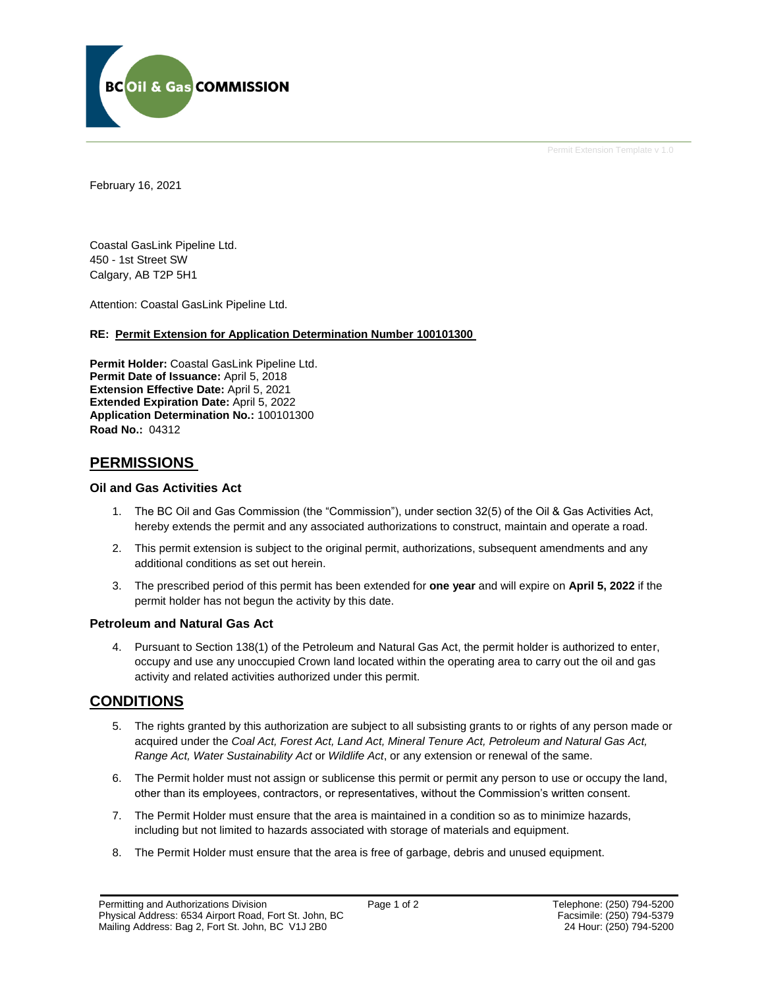

Permit Extension Template v 1.0

February 16, 2021

Coastal GasLink Pipeline Ltd. 450 - 1st Street SW Calgary, AB T2P 5H1

Attention: Coastal GasLink Pipeline Ltd.

### **RE: Permit Extension for Application Determination Number 100101300**

**Permit Holder:** Coastal GasLink Pipeline Ltd. Permit Date of Issuance: April 5, 2018 **Extension Effective Date:** April 5, 2021 **Extended Expiration Date:** April 5, 2022 **Application Determination No.:** 100101300 **Road No.:** 04312

### **PERMISSIONS**

### **Oil and Gas Activities Act**

- 1. The BC Oil and Gas Commission (the "Commission"), under section 32(5) of the Oil & Gas Activities Act, hereby extends the permit and any associated authorizations to construct, maintain and operate a road.
- 2. This permit extension is subject to the original permit, authorizations, subsequent amendments and any additional conditions as set out herein.
- 3. The prescribed period of this permit has been extended for **one year** and will expire on **April 5, 2022** if the permit holder has not begun the activity by this date.

### **Petroleum and Natural Gas Act**

4. Pursuant to Section 138(1) of the Petroleum and Natural Gas Act, the permit holder is authorized to enter, occupy and use any unoccupied Crown land located within the operating area to carry out the oil and gas activity and related activities authorized under this permit.

### **CONDITIONS**

- 5. The rights granted by this authorization are subject to all subsisting grants to or rights of any person made or acquired under the *Coal Act, Forest Act, Land Act, Mineral Tenure Act, Petroleum and Natural Gas Act, Range Act, Water Sustainability Act* or *Wildlife Act*, or any extension or renewal of the same.
- 6. The Permit holder must not assign or sublicense this permit or permit any person to use or occupy the land, other than its employees, contractors, or representatives, without the Commission's written consent.
- 7. The Permit Holder must ensure that the area is maintained in a condition so as to minimize hazards, including but not limited to hazards associated with storage of materials and equipment.
- 8. The Permit Holder must ensure that the area is free of garbage, debris and unused equipment.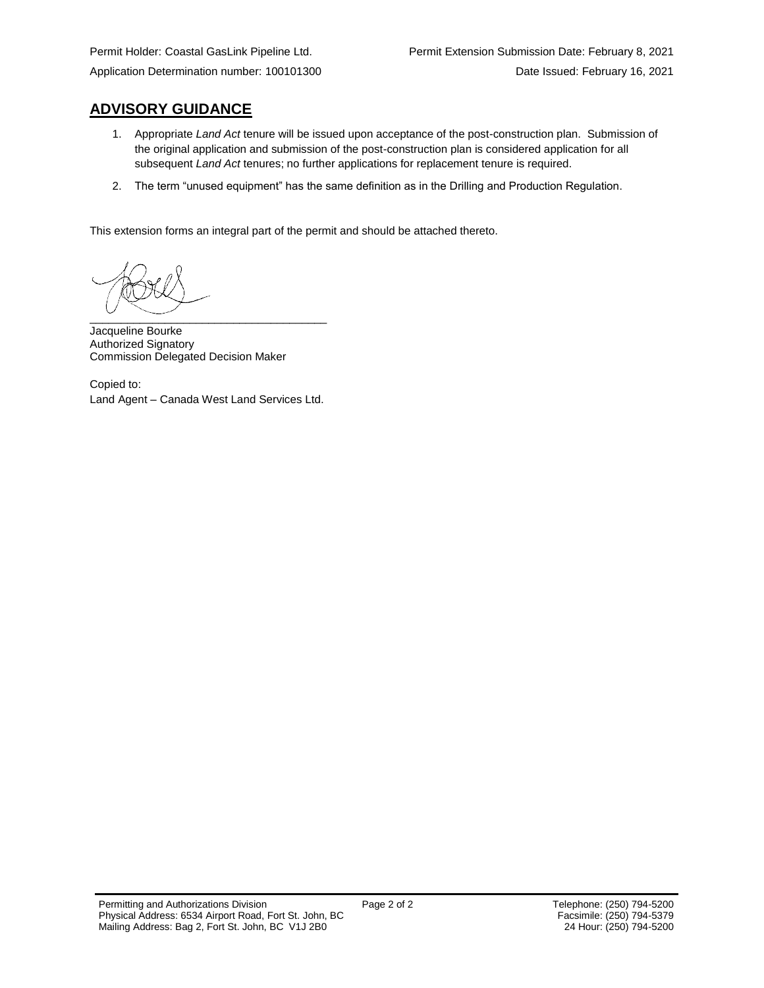### **ADVISORY GUIDANCE**

- 1. Appropriate *Land Act* tenure will be issued upon acceptance of the post-construction plan. Submission of the original application and submission of the post-construction plan is considered application for all subsequent *Land Act* tenures; no further applications for replacement tenure is required.
- 2. The term "unused equipment" has the same definition as in the Drilling and Production Regulation.

This extension forms an integral part of the permit and should be attached thereto.

 $\overbrace{\phantom{xxxxx}}$ 

Jacqueline Bourke Authorized Signatory Commission Delegated Decision Maker

Copied to: Land Agent – Canada West Land Services Ltd.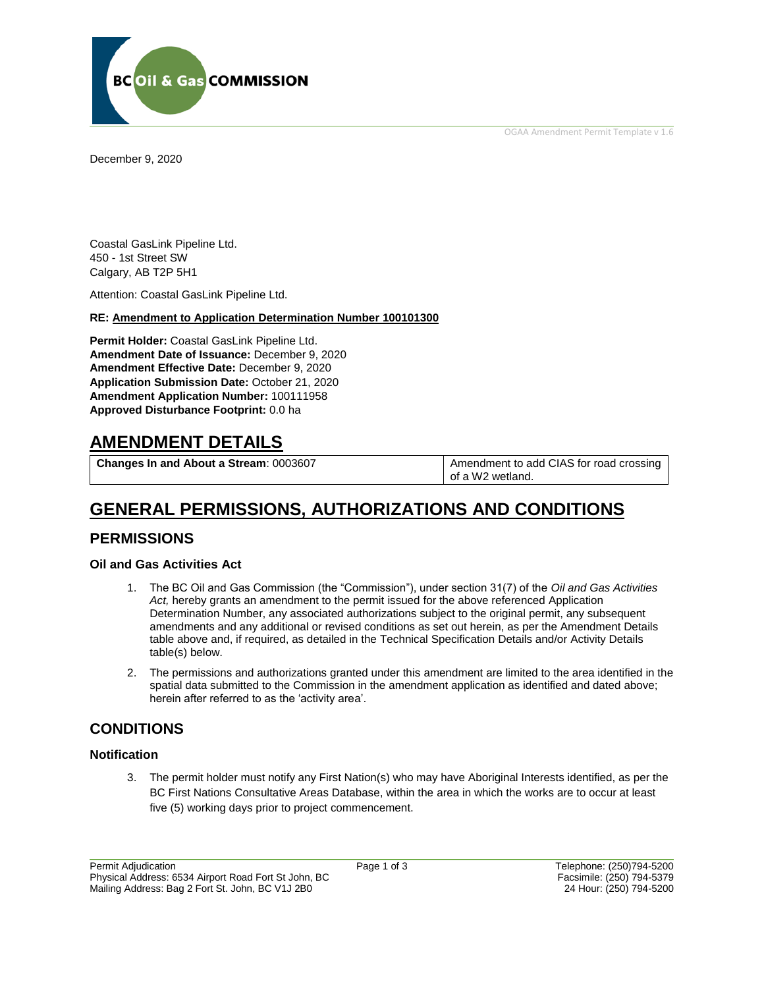OGAA Amendment Permit Template v 1.6



December 9, 2020

Coastal GasLink Pipeline Ltd. 450 - 1st Street SW Calgary, AB T2P 5H1

Attention: Coastal GasLink Pipeline Ltd.

#### **RE: Amendment to Application Determination Number 100101300**

**Permit Holder:** Coastal GasLink Pipeline Ltd. **Amendment Date of Issuance:** December 9, 2020 **Amendment Effective Date:** December 9, 2020 **Application Submission Date:** October 21, 2020 **Amendment Application Number:** 100111958 **Approved Disturbance Footprint:** 0.0 ha

## **AMENDMENT DETAILS**

**Changes In and About a Stream:** 0003607 Amendment to add CIAS for road crossing

of a W2 wetland.

## **GENERAL PERMISSIONS, AUTHORIZATIONS AND CONDITIONS**

### **PERMISSIONS**

### **Oil and Gas Activities Act**

- 1. The BC Oil and Gas Commission (the "Commission"), under section 31(7) of the *Oil and Gas Activities Act,* hereby grants an amendment to the permit issued for the above referenced Application Determination Number, any associated authorizations subject to the original permit, any subsequent amendments and any additional or revised conditions as set out herein, as per the Amendment Details table above and, if required, as detailed in the Technical Specification Details and/or Activity Details table(s) below.
- 2. The permissions and authorizations granted under this amendment are limited to the area identified in the spatial data submitted to the Commission in the amendment application as identified and dated above; herein after referred to as the 'activity area'.

### **CONDITIONS**

### **Notification**

3. The permit holder must notify any First Nation(s) who may have Aboriginal Interests identified, as per the BC First Nations Consultative Areas Database, within the area in which the works are to occur at least five (5) working days prior to project commencement.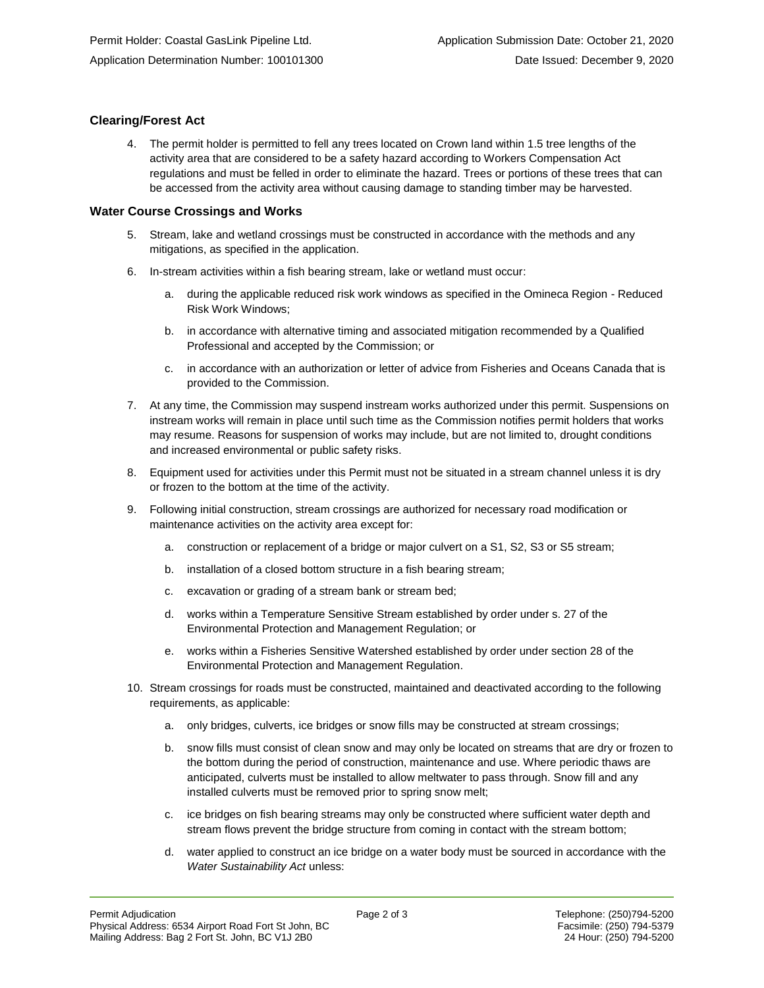### **Clearing/Forest Act**

4. The permit holder is permitted to fell any trees located on Crown land within 1.5 tree lengths of the activity area that are considered to be a safety hazard according to Workers Compensation Act regulations and must be felled in order to eliminate the hazard. Trees or portions of these trees that can be accessed from the activity area without causing damage to standing timber may be harvested.

#### **Water Course Crossings and Works**

- 5. Stream, lake and wetland crossings must be constructed in accordance with the methods and any mitigations, as specified in the application.
- 6. In-stream activities within a fish bearing stream, lake or wetland must occur:
	- a. during the applicable reduced risk work windows as specified in the Omineca Region Reduced Risk Work Windows;
	- b. in accordance with alternative timing and associated mitigation recommended by a Qualified Professional and accepted by the Commission; or
	- c. in accordance with an authorization or letter of advice from Fisheries and Oceans Canada that is provided to the Commission.
- 7. At any time, the Commission may suspend instream works authorized under this permit. Suspensions on instream works will remain in place until such time as the Commission notifies permit holders that works may resume. Reasons for suspension of works may include, but are not limited to, drought conditions and increased environmental or public safety risks.
- 8. Equipment used for activities under this Permit must not be situated in a stream channel unless it is dry or frozen to the bottom at the time of the activity.
- 9. Following initial construction, stream crossings are authorized for necessary road modification or maintenance activities on the activity area except for:
	- a. construction or replacement of a bridge or major culvert on a S1, S2, S3 or S5 stream;
	- b. installation of a closed bottom structure in a fish bearing stream;
	- c. excavation or grading of a stream bank or stream bed;
	- d. works within a Temperature Sensitive Stream established by order under s. 27 of the Environmental Protection and Management Regulation; or
	- e. works within a Fisheries Sensitive Watershed established by order under section 28 of the Environmental Protection and Management Regulation.
- 10. Stream crossings for roads must be constructed, maintained and deactivated according to the following requirements, as applicable:
	- a. only bridges, culverts, ice bridges or snow fills may be constructed at stream crossings;
	- b. snow fills must consist of clean snow and may only be located on streams that are dry or frozen to the bottom during the period of construction, maintenance and use. Where periodic thaws are anticipated, culverts must be installed to allow meltwater to pass through. Snow fill and any installed culverts must be removed prior to spring snow melt;
	- c. ice bridges on fish bearing streams may only be constructed where sufficient water depth and stream flows prevent the bridge structure from coming in contact with the stream bottom;
	- d. water applied to construct an ice bridge on a water body must be sourced in accordance with the *Water Sustainability Act* unless: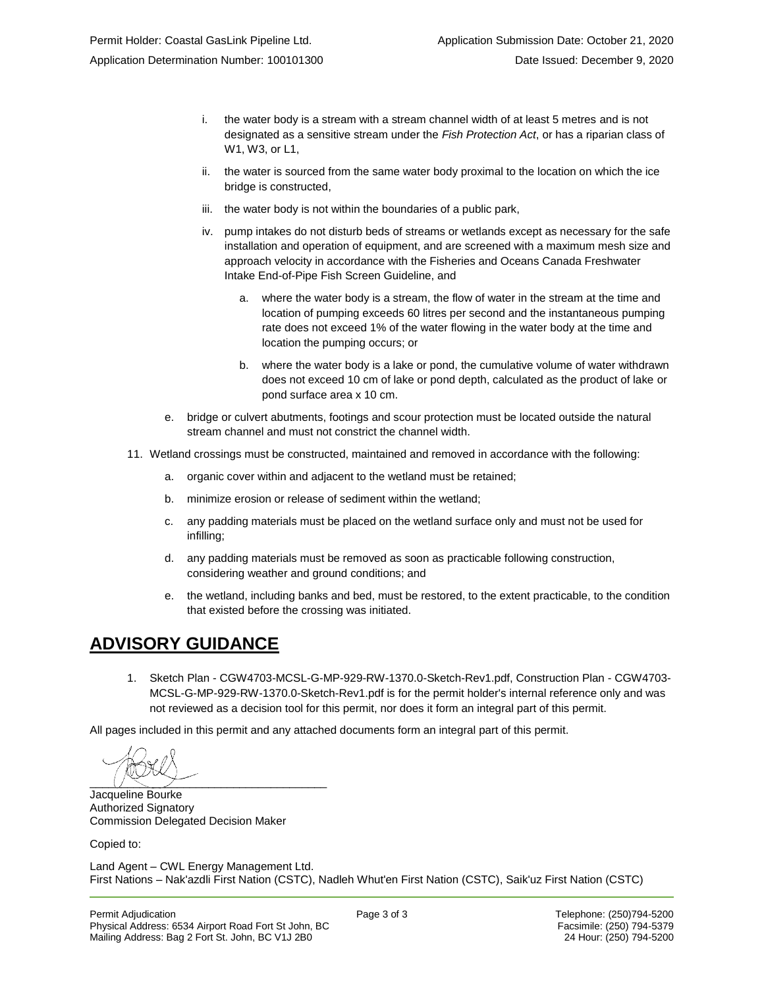- i. the water body is a stream with a stream channel width of at least 5 metres and is not designated as a sensitive stream under the *Fish Protection Act*, or has a riparian class of W1, W3, or L1,
- ii. the water is sourced from the same water body proximal to the location on which the ice bridge is constructed,
- iii. the water body is not within the boundaries of a public park,
- iv. pump intakes do not disturb beds of streams or wetlands except as necessary for the safe installation and operation of equipment, and are screened with a maximum mesh size and approach velocity in accordance with the Fisheries and Oceans Canada Freshwater Intake End-of-Pipe Fish Screen Guideline, and
	- a. where the water body is a stream, the flow of water in the stream at the time and location of pumping exceeds 60 litres per second and the instantaneous pumping rate does not exceed 1% of the water flowing in the water body at the time and location the pumping occurs; or
	- b. where the water body is a lake or pond, the cumulative volume of water withdrawn does not exceed 10 cm of lake or pond depth, calculated as the product of lake or pond surface area x 10 cm.
- e. bridge or culvert abutments, footings and scour protection must be located outside the natural stream channel and must not constrict the channel width.
- 11. Wetland crossings must be constructed, maintained and removed in accordance with the following:
	- a. organic cover within and adjacent to the wetland must be retained;
	- b. minimize erosion or release of sediment within the wetland;
	- c. any padding materials must be placed on the wetland surface only and must not be used for infilling;
	- d. any padding materials must be removed as soon as practicable following construction, considering weather and ground conditions; and
	- e. the wetland, including banks and bed, must be restored, to the extent practicable, to the condition that existed before the crossing was initiated.

## **ADVISORY GUIDANCE**

1. Sketch Plan - CGW4703-MCSL-G-MP-929-RW-1370.0-Sketch-Rev1.pdf, Construction Plan - CGW4703- MCSL-G-MP-929-RW-1370.0-Sketch-Rev1.pdf is for the permit holder's internal reference only and was not reviewed as a decision tool for this permit, nor does it form an integral part of this permit.

All pages included in this permit and any attached documents form an integral part of this permit.

\_\_\_\_\_\_\_\_\_\_\_\_\_\_\_\_\_\_\_\_\_\_\_\_\_\_\_\_\_\_\_\_\_\_\_\_\_\_

Jacqueline Bourke Authorized Signatory Commission Delegated Decision Maker

Copied to:

Land Agent – CWL Energy Management Ltd. First Nations – Nak'azdli First Nation (CSTC), Nadleh Whut'en First Nation (CSTC), Saik'uz First Nation (CSTC)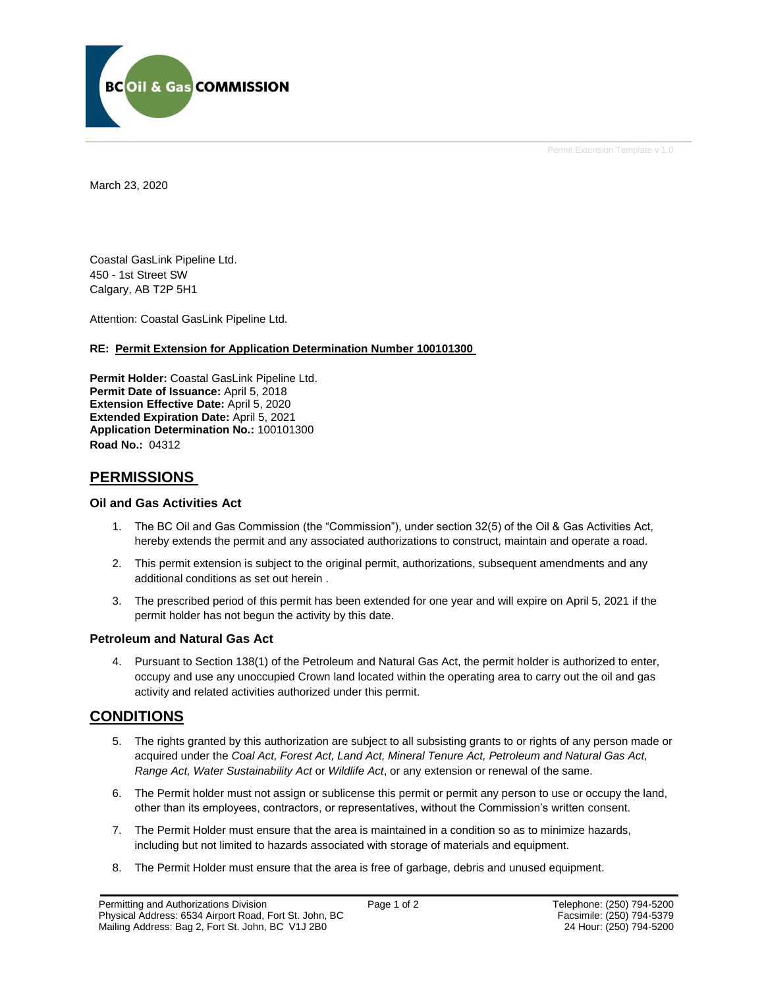

Permit Extension Template v 1.0

March 23, 2020

Coastal GasLink Pipeline Ltd. 450 - 1st Street SW Calgary, AB T2P 5H1

Attention: Coastal GasLink Pipeline Ltd.

#### **RE: Permit Extension for Application Determination Number 100101300**

**Permit Holder:** Coastal GasLink Pipeline Ltd. **Permit Date of Issuance:** April 5, 2018 **Extension Effective Date:** April 5, 2020 **Extended Expiration Date:** April 5, 2021 **Application Determination No.:** 100101300 **Road No.:** 04312

### **PERMISSIONS**

### **Oil and Gas Activities Act**

- 1. The BC Oil and Gas Commission (the "Commission"), under section 32(5) of the Oil & Gas Activities Act, hereby extends the permit and any associated authorizations to construct, maintain and operate a road.
- 2. This permit extension is subject to the original permit, authorizations, subsequent amendments and any additional conditions as set out herein .
- 3. The prescribed period of this permit has been extended for one year and will expire on April 5, 2021 if the permit holder has not begun the activity by this date.

### **Petroleum and Natural Gas Act**

4. Pursuant to Section 138(1) of the Petroleum and Natural Gas Act, the permit holder is authorized to enter, occupy and use any unoccupied Crown land located within the operating area to carry out the oil and gas activity and related activities authorized under this permit.

### **CONDITIONS**

- 5. The rights granted by this authorization are subject to all subsisting grants to or rights of any person made or acquired under the *Coal Act, Forest Act, Land Act, Mineral Tenure Act, Petroleum and Natural Gas Act, Range Act, Water Sustainability Act* or *Wildlife Act*, or any extension or renewal of the same.
- 6. The Permit holder must not assign or sublicense this permit or permit any person to use or occupy the land, other than its employees, contractors, or representatives, without the Commission's written consent.
- 7. The Permit Holder must ensure that the area is maintained in a condition so as to minimize hazards, including but not limited to hazards associated with storage of materials and equipment.
- 8. The Permit Holder must ensure that the area is free of garbage, debris and unused equipment.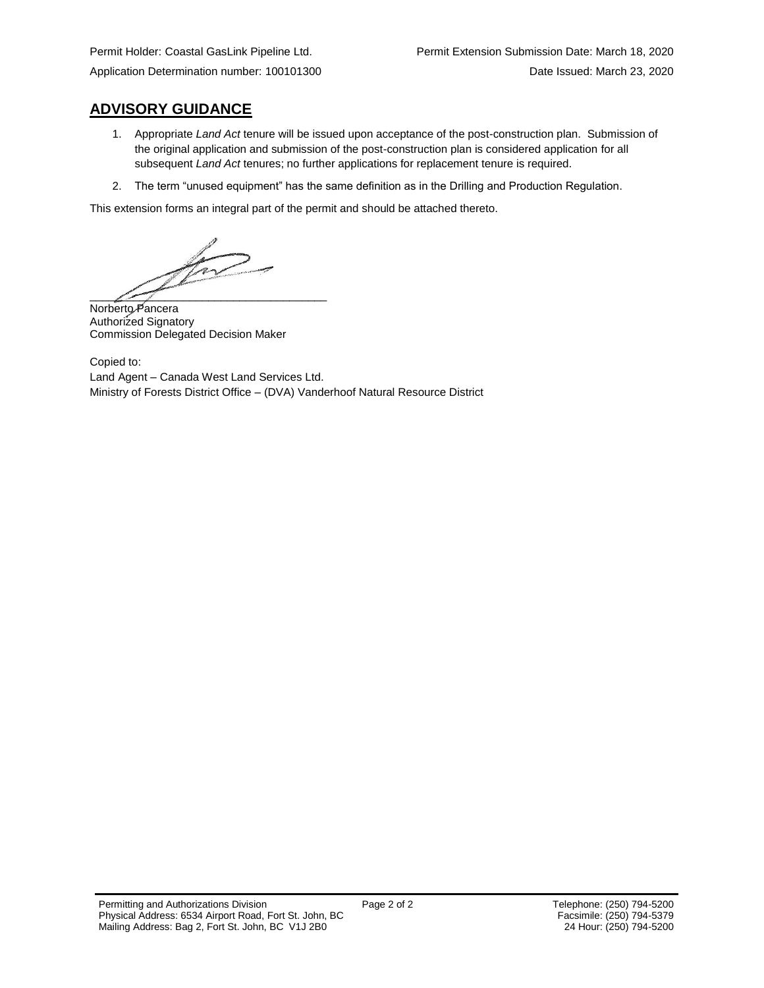### **ADVISORY GUIDANCE**

- 1. Appropriate *Land Act* tenure will be issued upon acceptance of the post-construction plan. Submission of the original application and submission of the post-construction plan is considered application for all subsequent *Land Act* tenures; no further applications for replacement tenure is required.
- 2. The term "unused equipment" has the same definition as in the Drilling and Production Regulation.

This extension forms an integral part of the permit and should be attached thereto.

for  $\overline{\phantom{a}}$ 

Norberto Pancera Authorized Signatory Commission Delegated Decision Maker

Copied to: Land Agent – Canada West Land Services Ltd. Ministry of Forests District Office – (DVA) Vanderhoof Natural Resource District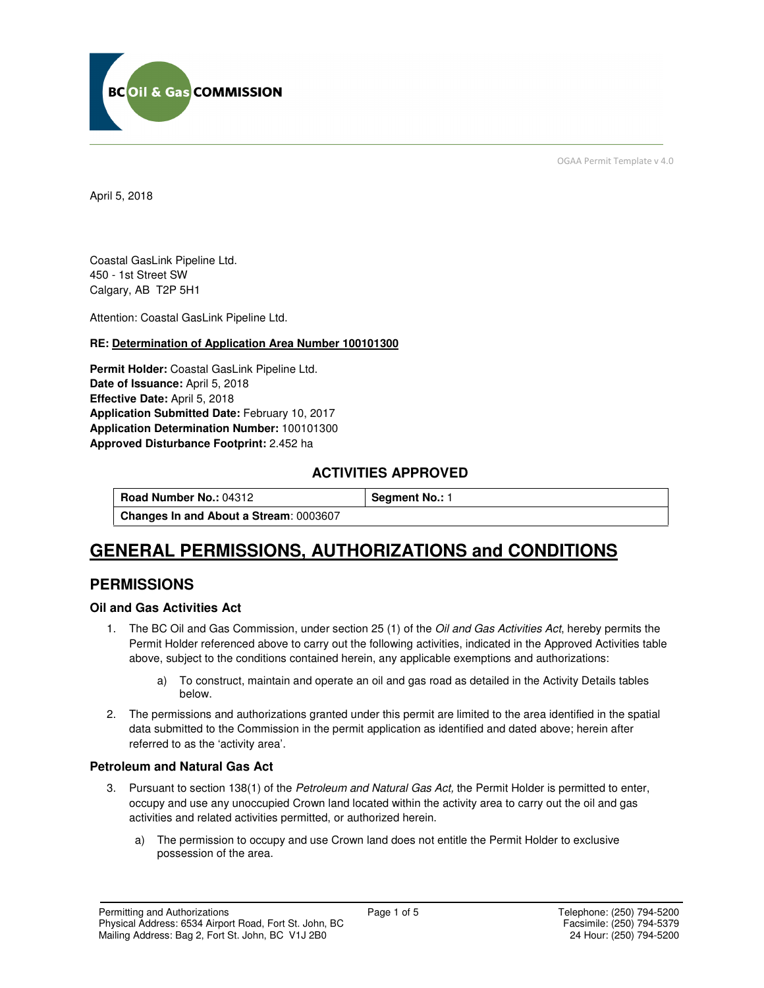

OGAA Permit Template v 4.0

April 5, 2018

Coastal GasLink Pipeline Ltd. 450 - 1st Street SW Calgary, AB T2P 5H1

Attention: Coastal GasLink Pipeline Ltd.

### **RE: Determination of Application Area Number 100101300**

**Permit Holder:** Coastal GasLink Pipeline Ltd. **Date of Issuance:** April 5, 2018 **Effective Date:** April 5, 2018 **Application Submitted Date:** February 10, 2017 **Application Determination Number:** 100101300 **Approved Disturbance Footprint:** 2.452 ha

### **ACTIVITIES APPROVED**

**Road Number No.: 04312 Segment No.: 1 Changes In and About a Stream**: 0003607

## **GENERAL PERMISSIONS, AUTHORIZATIONS and CONDITIONS**

### **PERMISSIONS**

### **Oil and Gas Activities Act**

- 1. The BC Oil and Gas Commission, under section 25 (1) of the *Oil and Gas Activities Act*, hereby permits the Permit Holder referenced above to carry out the following activities, indicated in the Approved Activities table above, subject to the conditions contained herein, any applicable exemptions and authorizations:
	- a) To construct, maintain and operate an oil and gas road as detailed in the Activity Details tables below.
- 2. The permissions and authorizations granted under this permit are limited to the area identified in the spatial data submitted to the Commission in the permit application as identified and dated above; herein after referred to as the 'activity area'.

### **Petroleum and Natural Gas Act**

- 3. Pursuant to section 138(1) of the Petroleum and Natural Gas Act, the Permit Holder is permitted to enter, occupy and use any unoccupied Crown land located within the activity area to carry out the oil and gas activities and related activities permitted, or authorized herein.
	- a) The permission to occupy and use Crown land does not entitle the Permit Holder to exclusive possession of the area.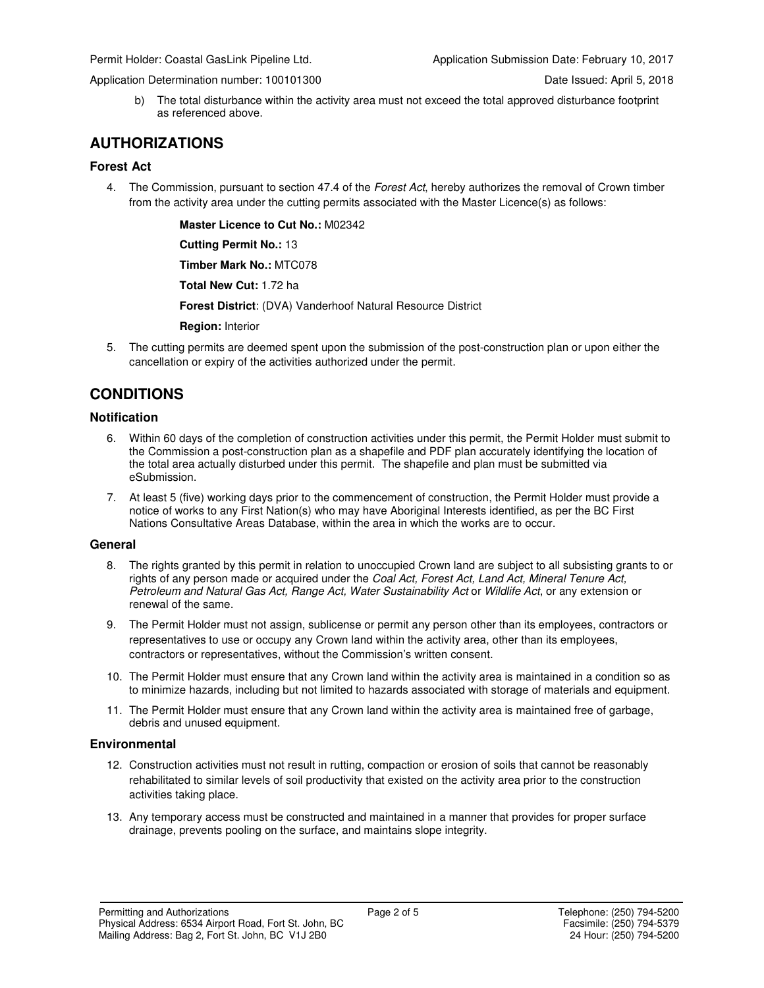Application Determination number: 100101300 Date Issued: April 5, 2018

b) The total disturbance within the activity area must not exceed the total approved disturbance footprint as referenced above.

### **AUTHORIZATIONS**

### **Forest Act**

4. The Commission, pursuant to section 47.4 of the Forest Act, hereby authorizes the removal of Crown timber from the activity area under the cutting permits associated with the Master Licence(s) as follows:

 **Master Licence to Cut No.:** M02342

 **Cutting Permit No.:** 13

 **Timber Mark No.:** MTC078

 **Total New Cut:** 1.72 ha

 **Forest District**: (DVA) Vanderhoof Natural Resource District

 **Region:** Interior

5. The cutting permits are deemed spent upon the submission of the post-construction plan or upon either the cancellation or expiry of the activities authorized under the permit.

### **CONDITIONS**

### **Notification**

- 6. Within 60 days of the completion of construction activities under this permit, the Permit Holder must submit to the Commission a post-construction plan as a shapefile and PDF plan accurately identifying the location of the total area actually disturbed under this permit. The shapefile and plan must be submitted via eSubmission.
- 7. At least 5 (five) working days prior to the commencement of construction, the Permit Holder must provide a notice of works to any First Nation(s) who may have Aboriginal Interests identified, as per the BC First Nations Consultative Areas Database, within the area in which the works are to occur.

### **General**

- 8. The rights granted by this permit in relation to unoccupied Crown land are subject to all subsisting grants to or rights of any person made or acquired under the *Coal Act, Forest Act, Land Act, Mineral Tenure Act*, Petroleum and Natural Gas Act, Range Act, Water Sustainability Act or Wildlife Act, or any extension or renewal of the same.
- 9. The Permit Holder must not assign, sublicense or permit any person other than its employees, contractors or representatives to use or occupy any Crown land within the activity area, other than its employees, contractors or representatives, without the Commission's written consent.
- 10. The Permit Holder must ensure that any Crown land within the activity area is maintained in a condition so as to minimize hazards, including but not limited to hazards associated with storage of materials and equipment.
- 11. The Permit Holder must ensure that any Crown land within the activity area is maintained free of garbage, debris and unused equipment.

### **Environmental**

- 12. Construction activities must not result in rutting, compaction or erosion of soils that cannot be reasonably rehabilitated to similar levels of soil productivity that existed on the activity area prior to the construction activities taking place.
- 13. Any temporary access must be constructed and maintained in a manner that provides for proper surface drainage, prevents pooling on the surface, and maintains slope integrity.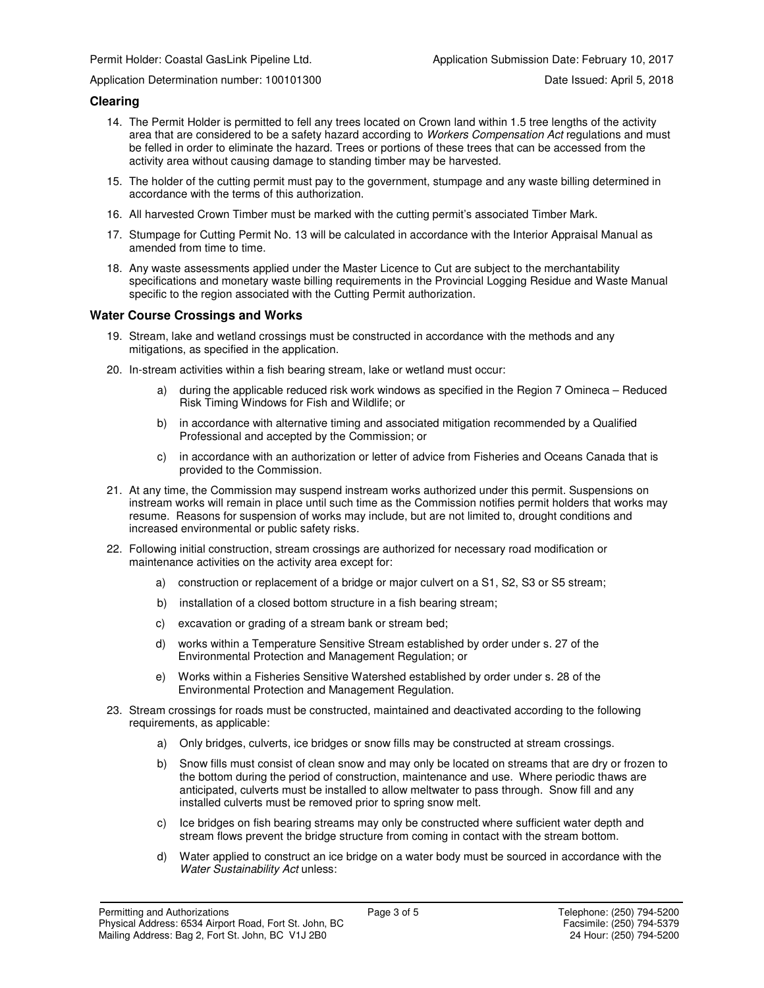Application Determination number: 100101300 Date Issued: April 5, 2018

#### **Clearing**

- 14. The Permit Holder is permitted to fell any trees located on Crown land within 1.5 tree lengths of the activity area that are considered to be a safety hazard according to Workers Compensation Act regulations and must be felled in order to eliminate the hazard. Trees or portions of these trees that can be accessed from the activity area without causing damage to standing timber may be harvested.
- 15. The holder of the cutting permit must pay to the government, stumpage and any waste billing determined in accordance with the terms of this authorization.
- 16. All harvested Crown Timber must be marked with the cutting permit's associated Timber Mark.
- 17. Stumpage for Cutting Permit No. 13 will be calculated in accordance with the Interior Appraisal Manual as amended from time to time.
- 18. Any waste assessments applied under the Master Licence to Cut are subject to the merchantability specifications and monetary waste billing requirements in the Provincial Logging Residue and Waste Manual specific to the region associated with the Cutting Permit authorization.

#### **Water Course Crossings and Works**

- 19. Stream, lake and wetland crossings must be constructed in accordance with the methods and any mitigations, as specified in the application.
- 20. In-stream activities within a fish bearing stream, lake or wetland must occur:
	- a) during the applicable reduced risk work windows as specified in the Region 7 Omineca Reduced Risk Timing Windows for Fish and Wildlife; or
	- b) in accordance with alternative timing and associated mitigation recommended by a Qualified Professional and accepted by the Commission; or
	- c) in accordance with an authorization or letter of advice from Fisheries and Oceans Canada that is provided to the Commission.
- 21. At any time, the Commission may suspend instream works authorized under this permit. Suspensions on instream works will remain in place until such time as the Commission notifies permit holders that works may resume. Reasons for suspension of works may include, but are not limited to, drought conditions and increased environmental or public safety risks.
- 22. Following initial construction, stream crossings are authorized for necessary road modification or maintenance activities on the activity area except for:
	- a) construction or replacement of a bridge or major culvert on a S1, S2, S3 or S5 stream;
	- b) installation of a closed bottom structure in a fish bearing stream;
	- c) excavation or grading of a stream bank or stream bed;
	- d) works within a Temperature Sensitive Stream established by order under s. 27 of the Environmental Protection and Management Regulation; or
	- e) Works within a Fisheries Sensitive Watershed established by order under s. 28 of the Environmental Protection and Management Regulation.
- 23. Stream crossings for roads must be constructed, maintained and deactivated according to the following requirements, as applicable:
	- a) Only bridges, culverts, ice bridges or snow fills may be constructed at stream crossings.
	- b) Snow fills must consist of clean snow and may only be located on streams that are dry or frozen to the bottom during the period of construction, maintenance and use. Where periodic thaws are anticipated, culverts must be installed to allow meltwater to pass through. Snow fill and any installed culverts must be removed prior to spring snow melt.
	- c) Ice bridges on fish bearing streams may only be constructed where sufficient water depth and stream flows prevent the bridge structure from coming in contact with the stream bottom.
	- d) Water applied to construct an ice bridge on a water body must be sourced in accordance with the Water Sustainability Act unless: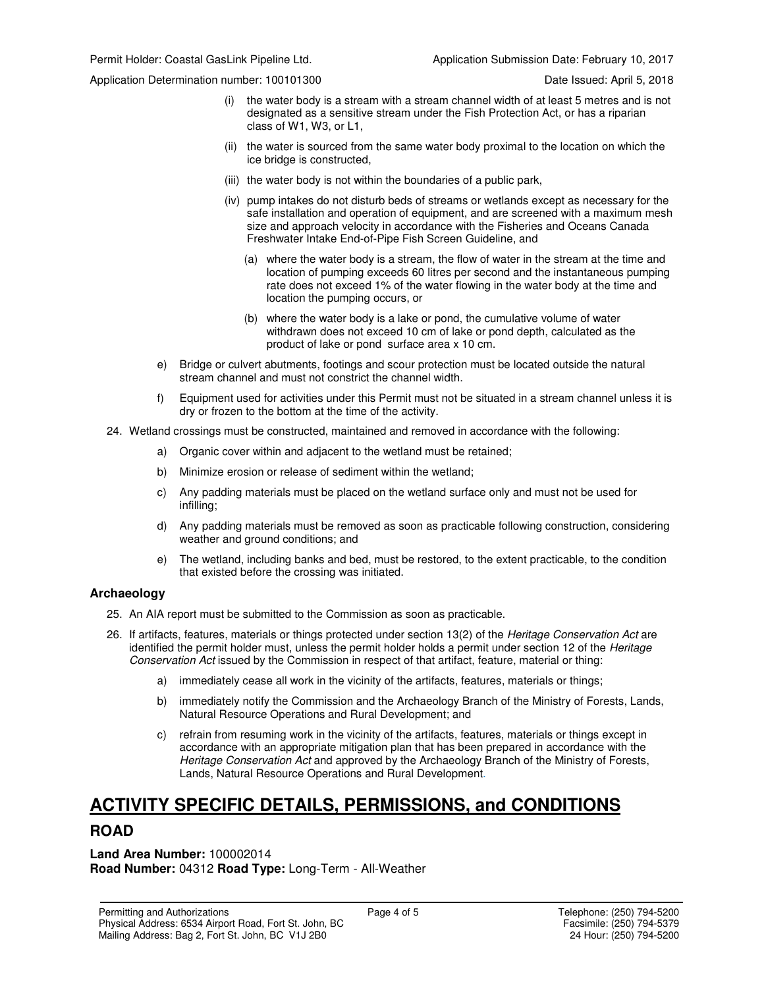Application Determination number: 100101300 Date Issued: April 5, 2018

- (i) the water body is a stream with a stream channel width of at least 5 metres and is not designated as a sensitive stream under the Fish Protection Act, or has a riparian class of W1, W3, or L1,
- (ii) the water is sourced from the same water body proximal to the location on which the ice bridge is constructed,
- (iii) the water body is not within the boundaries of a public park,
- (iv) pump intakes do not disturb beds of streams or wetlands except as necessary for the safe installation and operation of equipment, and are screened with a maximum mesh size and approach velocity in accordance with the Fisheries and Oceans Canada Freshwater Intake End-of-Pipe Fish Screen Guideline, and
	- (a) where the water body is a stream, the flow of water in the stream at the time and location of pumping exceeds 60 litres per second and the instantaneous pumping rate does not exceed 1% of the water flowing in the water body at the time and location the pumping occurs, or
	- (b) where the water body is a lake or pond, the cumulative volume of water withdrawn does not exceed 10 cm of lake or pond depth, calculated as the product of lake or pond surface area x 10 cm.
- e) Bridge or culvert abutments, footings and scour protection must be located outside the natural stream channel and must not constrict the channel width.
- f) Equipment used for activities under this Permit must not be situated in a stream channel unless it is dry or frozen to the bottom at the time of the activity.
- 24. Wetland crossings must be constructed, maintained and removed in accordance with the following:
	- a) Organic cover within and adjacent to the wetland must be retained;
	- b) Minimize erosion or release of sediment within the wetland;
	- c) Any padding materials must be placed on the wetland surface only and must not be used for infilling;
	- d) Any padding materials must be removed as soon as practicable following construction, considering weather and ground conditions; and
	- e) The wetland, including banks and bed, must be restored, to the extent practicable, to the condition that existed before the crossing was initiated.

### **Archaeology**

- 25. An AIA report must be submitted to the Commission as soon as practicable.
- 26. If artifacts, features, materials or things protected under section 13(2) of the Heritage Conservation Act are identified the permit holder must, unless the permit holder holds a permit under section 12 of the Heritage Conservation Act issued by the Commission in respect of that artifact, feature, material or thing:
	- a) immediately cease all work in the vicinity of the artifacts, features, materials or things;
	- b) immediately notify the Commission and the Archaeology Branch of the Ministry of Forests, Lands, Natural Resource Operations and Rural Development; and
	- c) refrain from resuming work in the vicinity of the artifacts, features, materials or things except in accordance with an appropriate mitigation plan that has been prepared in accordance with the Heritage Conservation Act and approved by the Archaeology Branch of the Ministry of Forests, Lands, Natural Resource Operations and Rural Development.

# **ACTIVITY SPECIFIC DETAILS, PERMISSIONS, and CONDITIONS**

### **ROAD**

**Land Area Number:** 100002014 **Road Number:** 04312 **Road Type:** Long-Term - All-Weather